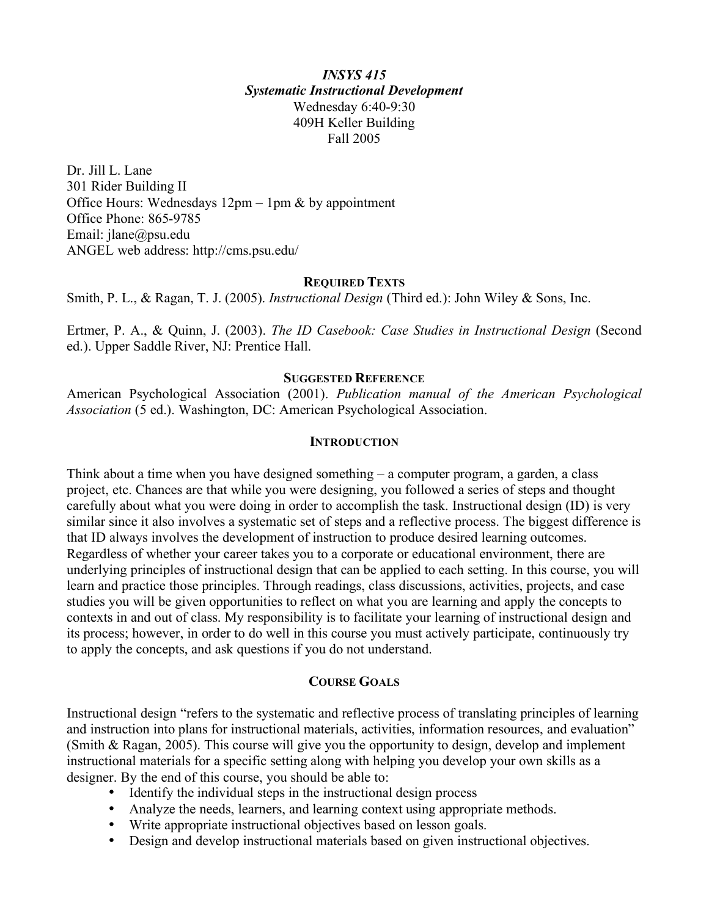#### *INSYS 415 Systematic Instructional Development* Wednesday 6:40-9:30 409H Keller Building Fall 2005

Dr. Jill L. Lane 301 Rider Building II Office Hours: Wednesdays  $12pm - 1pm \& by a$ ppointment Office Phone: 865-9785 Email: jlane@psu.edu ANGEL web address: http://cms.psu.edu/

#### **REQUIRED TEXTS**

Smith, P. L., & Ragan, T. J. (2005). *Instructional Design* (Third ed.): John Wiley & Sons, Inc.

Ertmer, P. A., & Quinn, J. (2003). *The ID Casebook: Case Studies in Instructional Design* (Second ed.). Upper Saddle River, NJ: Prentice Hall.

#### **SUGGESTED REFERENCE**

American Psychological Association (2001). *Publication manual of the American Psychological Association* (5 ed.). Washington, DC: American Psychological Association.

#### **INTRODUCTION**

Think about a time when you have designed something – a computer program, a garden, a class project, etc. Chances are that while you were designing, you followed a series of steps and thought carefully about what you were doing in order to accomplish the task. Instructional design (ID) is very similar since it also involves a systematic set of steps and a reflective process. The biggest difference is that ID always involves the development of instruction to produce desired learning outcomes. Regardless of whether your career takes you to a corporate or educational environment, there are underlying principles of instructional design that can be applied to each setting. In this course, you will learn and practice those principles. Through readings, class discussions, activities, projects, and case studies you will be given opportunities to reflect on what you are learning and apply the concepts to contexts in and out of class. My responsibility is to facilitate your learning of instructional design and its process; however, in order to do well in this course you must actively participate, continuously try to apply the concepts, and ask questions if you do not understand.

#### **COURSE GOALS**

Instructional design "refers to the systematic and reflective process of translating principles of learning and instruction into plans for instructional materials, activities, information resources, and evaluation" (Smith & Ragan, 2005). This course will give you the opportunity to design, develop and implement instructional materials for a specific setting along with helping you develop your own skills as a designer. By the end of this course, you should be able to:

- Identify the individual steps in the instructional design process
- Analyze the needs, learners, and learning context using appropriate methods.
- Write appropriate instructional objectives based on lesson goals.
- Design and develop instructional materials based on given instructional objectives.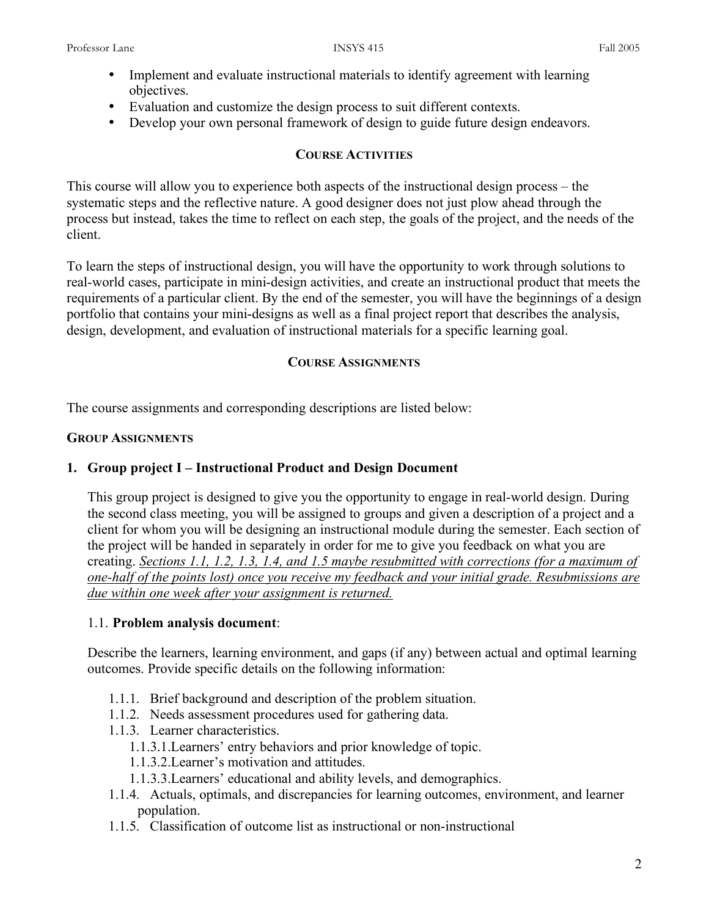- Implement and evaluate instructional materials to identify agreement with learning objectives.
- Evaluation and customize the design process to suit different contexts.
- Develop your own personal framework of design to guide future design endeavors.

#### **COURSE ACTIVITIES**

This course will allow you to experience both aspects of the instructional design process – the systematic steps and the reflective nature. A good designer does not just plow ahead through the process but instead, takes the time to reflect on each step, the goals of the project, and the needs of the client.

To learn the steps of instructional design, you will have the opportunity to work through solutions to real-world cases, participate in mini-design activities, and create an instructional product that meets the requirements of a particular client. By the end of the semester, you will have the beginnings of a design portfolio that contains your mini-designs as well as a final project report that describes the analysis, design, development, and evaluation of instructional materials for a specific learning goal.

## **COURSE ASSIGNMENTS**

The course assignments and corresponding descriptions are listed below:

#### **GROUP ASSIGNMENTS**

## **1. Group project I – Instructional Product and Design Document**

This group project is designed to give you the opportunity to engage in real-world design. During the second class meeting, you will be assigned to groups and given a description of a project and a client for whom you will be designing an instructional module during the semester. Each section of the project will be handed in separately in order for me to give you feedback on what you are creating. *Sections 1.1, 1.2, 1.3, 1.4, and 1.5 maybe resubmitted with corrections (for a maximum of one-half of the points lost) once you receive my feedback and your initial grade. Resubmissions are due within one week after your assignment is returned.*

## 1.1. **Problem analysis document**:

Describe the learners, learning environment, and gaps (if any) between actual and optimal learning outcomes. Provide specific details on the following information:

- 1.1.1. Brief background and description of the problem situation.
- 1.1.2. Needs assessment procedures used for gathering data.
- 1.1.3. Learner characteristics.
	- 1.1.3.1.Learners' entry behaviors and prior knowledge of topic.
	- 1.1.3.2.Learner's motivation and attitudes.
	- 1.1.3.3.Learners' educational and ability levels, and demographics.
- 1.1.4. Actuals, optimals, and discrepancies for learning outcomes, environment, and learner population.
- 1.1.5. Classification of outcome list as instructional or non-instructional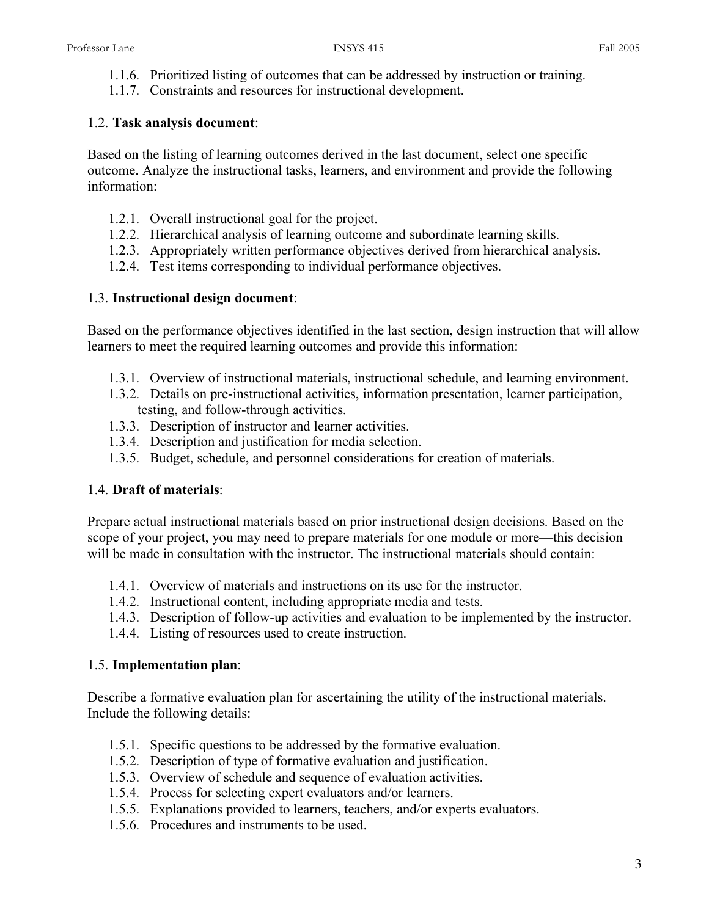- 1.1.6. Prioritized listing of outcomes that can be addressed by instruction or training.
- 1.1.7. Constraints and resources for instructional development.

# 1.2. **Task analysis document**:

Based on the listing of learning outcomes derived in the last document, select one specific outcome. Analyze the instructional tasks, learners, and environment and provide the following information:

- 1.2.1. Overall instructional goal for the project.
- 1.2.2. Hierarchical analysis of learning outcome and subordinate learning skills.
- 1.2.3. Appropriately written performance objectives derived from hierarchical analysis.
- 1.2.4. Test items corresponding to individual performance objectives.

## 1.3. **Instructional design document**:

Based on the performance objectives identified in the last section, design instruction that will allow learners to meet the required learning outcomes and provide this information:

- 1.3.1. Overview of instructional materials, instructional schedule, and learning environment.
- 1.3.2. Details on pre-instructional activities, information presentation, learner participation, testing, and follow-through activities.
- 1.3.3. Description of instructor and learner activities.
- 1.3.4. Description and justification for media selection.
- 1.3.5. Budget, schedule, and personnel considerations for creation of materials.

# 1.4. **Draft of materials**:

Prepare actual instructional materials based on prior instructional design decisions. Based on the scope of your project, you may need to prepare materials for one module or more—this decision will be made in consultation with the instructor. The instructional materials should contain:

- 1.4.1. Overview of materials and instructions on its use for the instructor.
- 1.4.2. Instructional content, including appropriate media and tests.
- 1.4.3. Description of follow-up activities and evaluation to be implemented by the instructor.
- 1.4.4. Listing of resources used to create instruction.

# 1.5. **Implementation plan**:

Describe a formative evaluation plan for ascertaining the utility of the instructional materials. Include the following details:

- 1.5.1. Specific questions to be addressed by the formative evaluation.
- 1.5.2. Description of type of formative evaluation and justification.
- 1.5.3. Overview of schedule and sequence of evaluation activities.
- 1.5.4. Process for selecting expert evaluators and/or learners.
- 1.5.5. Explanations provided to learners, teachers, and/or experts evaluators.
- 1.5.6. Procedures and instruments to be used.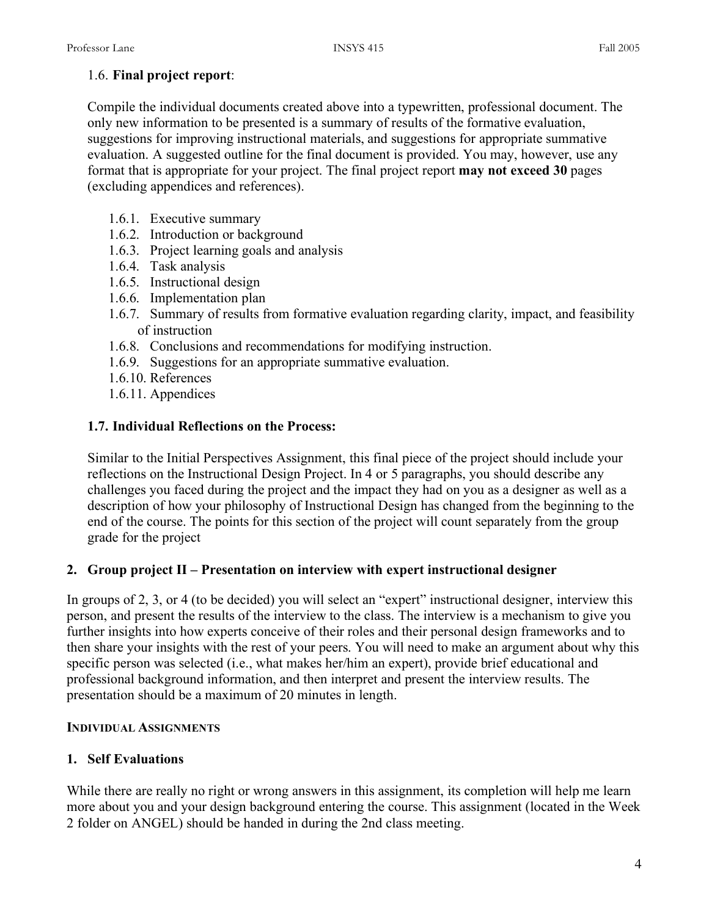#### 1.6. **Final project report**:

Compile the individual documents created above into a typewritten, professional document. The only new information to be presented is a summary of results of the formative evaluation, suggestions for improving instructional materials, and suggestions for appropriate summative evaluation. A suggested outline for the final document is provided. You may, however, use any format that is appropriate for your project. The final project report **may not exceed 30** pages (excluding appendices and references).

- 1.6.1. Executive summary
- 1.6.2. Introduction or background
- 1.6.3. Project learning goals and analysis
- 1.6.4. Task analysis
- 1.6.5. Instructional design
- 1.6.6. Implementation plan
- 1.6.7. Summary of results from formative evaluation regarding clarity, impact, and feasibility of instruction
- 1.6.8. Conclusions and recommendations for modifying instruction.
- 1.6.9. Suggestions for an appropriate summative evaluation.
- 1.6.10. References
- 1.6.11. Appendices

#### **1.7. Individual Reflections on the Process:**

Similar to the Initial Perspectives Assignment, this final piece of the project should include your reflections on the Instructional Design Project. In 4 or 5 paragraphs, you should describe any challenges you faced during the project and the impact they had on you as a designer as well as a description of how your philosophy of Instructional Design has changed from the beginning to the end of the course. The points for this section of the project will count separately from the group grade for the project

## **2. Group project II – Presentation on interview with expert instructional designer**

In groups of 2, 3, or 4 (to be decided) you will select an "expert" instructional designer, interview this person, and present the results of the interview to the class. The interview is a mechanism to give you further insights into how experts conceive of their roles and their personal design frameworks and to then share your insights with the rest of your peers. You will need to make an argument about why this specific person was selected (i.e., what makes her/him an expert), provide brief educational and professional background information, and then interpret and present the interview results. The presentation should be a maximum of 20 minutes in length.

#### **INDIVIDUAL ASSIGNMENTS**

## **1. Self Evaluations**

While there are really no right or wrong answers in this assignment, its completion will help me learn more about you and your design background entering the course. This assignment (located in the Week 2 folder on ANGEL) should be handed in during the 2nd class meeting.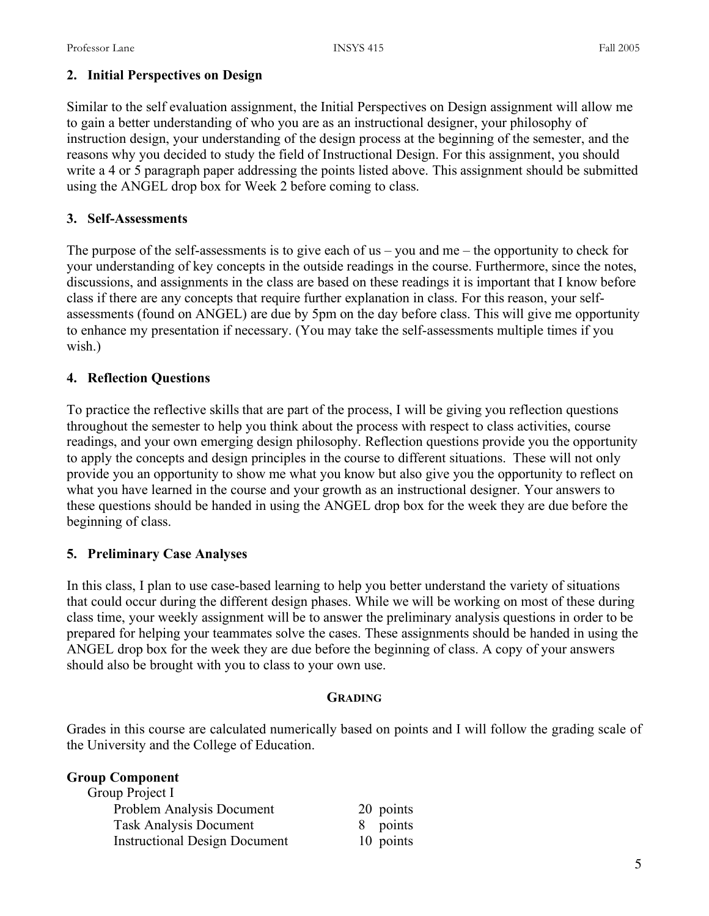## **2. Initial Perspectives on Design**

Similar to the self evaluation assignment, the Initial Perspectives on Design assignment will allow me to gain a better understanding of who you are as an instructional designer, your philosophy of instruction design, your understanding of the design process at the beginning of the semester, and the reasons why you decided to study the field of Instructional Design. For this assignment, you should write a 4 or 5 paragraph paper addressing the points listed above. This assignment should be submitted using the ANGEL drop box for Week 2 before coming to class.

## **3. Self-Assessments**

The purpose of the self-assessments is to give each of us – you and me – the opportunity to check for your understanding of key concepts in the outside readings in the course. Furthermore, since the notes, discussions, and assignments in the class are based on these readings it is important that I know before class if there are any concepts that require further explanation in class. For this reason, your selfassessments (found on ANGEL) are due by 5pm on the day before class. This will give me opportunity to enhance my presentation if necessary. (You may take the self-assessments multiple times if you wish.)

## **4. Reflection Questions**

To practice the reflective skills that are part of the process, I will be giving you reflection questions throughout the semester to help you think about the process with respect to class activities, course readings, and your own emerging design philosophy. Reflection questions provide you the opportunity to apply the concepts and design principles in the course to different situations. These will not only provide you an opportunity to show me what you know but also give you the opportunity to reflect on what you have learned in the course and your growth as an instructional designer. Your answers to these questions should be handed in using the ANGEL drop box for the week they are due before the beginning of class.

## **5. Preliminary Case Analyses**

In this class, I plan to use case-based learning to help you better understand the variety of situations that could occur during the different design phases. While we will be working on most of these during class time, your weekly assignment will be to answer the preliminary analysis questions in order to be prepared for helping your teammates solve the cases. These assignments should be handed in using the ANGEL drop box for the week they are due before the beginning of class. A copy of your answers should also be brought with you to class to your own use.

## **GRADING**

Grades in this course are calculated numerically based on points and I will follow the grading scale of the University and the College of Education.

| 20 points |
|-----------|
| points    |
| 10 points |
|           |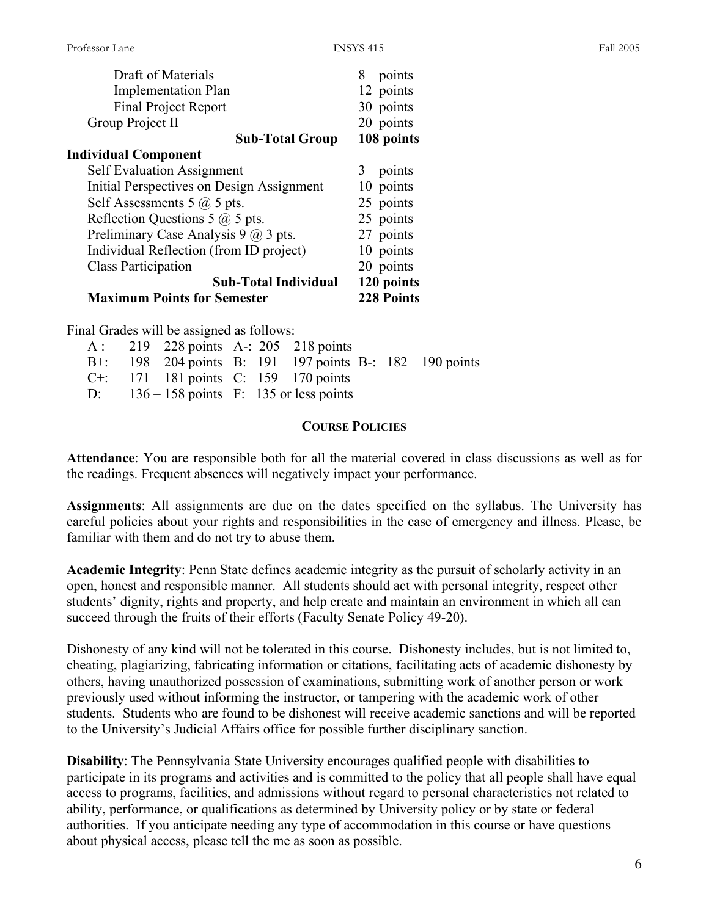| Draft of Materials                          | 8<br>points       |
|---------------------------------------------|-------------------|
| <b>Implementation Plan</b>                  | 12 points         |
| <b>Final Project Report</b>                 | 30 points         |
| Group Project II                            | 20 points         |
| <b>Sub-Total Group</b>                      | 108 points        |
| <b>Individual Component</b>                 |                   |
| <b>Self Evaluation Assignment</b>           | points<br>3       |
| Initial Perspectives on Design Assignment   | 10 points         |
| Self Assessments 5 $\omega$ 5 pts.          | 25 points         |
| Reflection Questions 5 $\omega$ 5 pts.      | 25 points         |
| Preliminary Case Analysis 9 $\omega$ 3 pts. | 27 points         |
| Individual Reflection (from ID project)     | 10 points         |
| <b>Class Participation</b>                  | 20 points         |
| <b>Sub-Total Individual</b>                 | 120 points        |
| <b>Maximum Points for Semester</b>          | <b>228 Points</b> |

Final Grades will be assigned as follows:

| A: $219 - 228$ points A-: $205 - 218$ points |                                                                     |  |
|----------------------------------------------|---------------------------------------------------------------------|--|
|                                              | B+: $198 - 204$ points B: $191 - 197$ points B-: $182 - 190$ points |  |
| C+: $171 - 181$ points C: $159 - 170$ points |                                                                     |  |
| D: $136 - 158$ points F: 135 or less points  |                                                                     |  |

# **COURSE POLICIES**

**Attendance**: You are responsible both for all the material covered in class discussions as well as for the readings. Frequent absences will negatively impact your performance.

**Assignments**: All assignments are due on the dates specified on the syllabus. The University has careful policies about your rights and responsibilities in the case of emergency and illness. Please, be familiar with them and do not try to abuse them.

**Academic Integrity**: Penn State defines academic integrity as the pursuit of scholarly activity in an open, honest and responsible manner. All students should act with personal integrity, respect other students' dignity, rights and property, and help create and maintain an environment in which all can succeed through the fruits of their efforts (Faculty Senate Policy 49-20).

Dishonesty of any kind will not be tolerated in this course. Dishonesty includes, but is not limited to, cheating, plagiarizing, fabricating information or citations, facilitating acts of academic dishonesty by others, having unauthorized possession of examinations, submitting work of another person or work previously used without informing the instructor, or tampering with the academic work of other students. Students who are found to be dishonest will receive academic sanctions and will be reported to the University's Judicial Affairs office for possible further disciplinary sanction.

**Disability**: The Pennsylvania State University encourages qualified people with disabilities to participate in its programs and activities and is committed to the policy that all people shall have equal access to programs, facilities, and admissions without regard to personal characteristics not related to ability, performance, or qualifications as determined by University policy or by state or federal authorities. If you anticipate needing any type of accommodation in this course or have questions about physical access, please tell the me as soon as possible.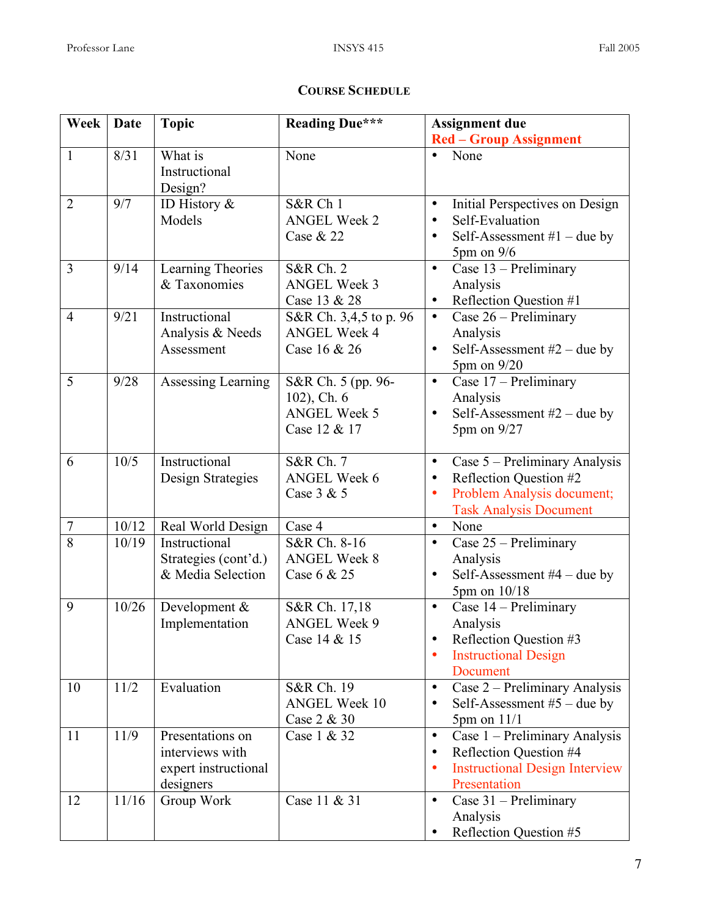# **COURSE SCHEDULE**

| Week           | Date  | <b>Topic</b>         | <b>Reading Due***</b>            | <b>Assignment due</b>                                          |  |  |
|----------------|-------|----------------------|----------------------------------|----------------------------------------------------------------|--|--|
|                |       |                      |                                  | <b>Red - Group Assignment</b>                                  |  |  |
| $\mathbf{1}$   | 8/31  | What is              | None                             | None                                                           |  |  |
|                |       | Instructional        |                                  |                                                                |  |  |
|                |       | Design?              |                                  |                                                                |  |  |
| $\overline{2}$ | 9/7   | ID History $\&$      | S&R Ch 1                         | Initial Perspectives on Design<br>$\bullet$                    |  |  |
|                |       | Models               | <b>ANGEL Week 2</b><br>Case & 22 | Self-Evaluation<br>$\bullet$<br>$\bullet$                      |  |  |
|                |       |                      |                                  | Self-Assessment $#1$ – due by<br>$5 \text{pm}$ on $9/6$        |  |  |
| 3              | 9/14  | Learning Theories    | <b>S&amp;R Ch. 2</b>             | Case 13 - Preliminary<br>$\bullet$                             |  |  |
|                |       | & Taxonomies         | <b>ANGEL Week 3</b>              | Analysis                                                       |  |  |
|                |       |                      | Case 13 & 28                     | Reflection Question #1                                         |  |  |
| $\overline{4}$ | 9/21  | Instructional        | S&R Ch. 3,4,5 to p. 96           | Case $26$ – Preliminary<br>$\bullet$                           |  |  |
|                |       | Analysis & Needs     | <b>ANGEL Week 4</b>              | Analysis                                                       |  |  |
|                |       | Assessment           | Case 16 & 26                     | Self-Assessment $#2$ – due by                                  |  |  |
|                |       |                      |                                  | 5pm on 9/20                                                    |  |  |
| 5              | 9/28  | Assessing Learning   | S&R Ch. 5 (pp. 96-               | Case 17 - Preliminary<br>$\bullet$                             |  |  |
|                |       |                      | 102), Ch. 6                      | Analysis                                                       |  |  |
|                |       |                      | <b>ANGEL Week 5</b>              | Self-Assessment $#2$ – due by                                  |  |  |
|                |       |                      | Case 12 & 17                     | 5pm on 9/27                                                    |  |  |
| 6              | 10/5  | Instructional        | <b>S&amp;R Ch. 7</b>             | $\overline{\text{Case}}$ 5 – Preliminary Analysis<br>$\bullet$ |  |  |
|                |       | Design Strategies    | <b>ANGEL Week 6</b>              | Reflection Question #2<br>$\bullet$                            |  |  |
|                |       |                      | Case 3 & 5                       | Problem Analysis document;<br>$\bullet$                        |  |  |
|                |       |                      |                                  | <b>Task Analysis Document</b>                                  |  |  |
| $\tau$         | 10/12 | Real World Design    | Case 4                           | None<br>$\bullet$                                              |  |  |
| $\overline{8}$ | 10/19 | Instructional        | S&R Ch. 8-16                     | Case 25 - Preliminary<br>$\bullet$                             |  |  |
|                |       | Strategies (cont'd.) | <b>ANGEL Week 8</b>              | Analysis                                                       |  |  |
|                |       | & Media Selection    | Case 6 & 25                      | Self-Assessment $#4$ – due by<br>$\bullet$                     |  |  |
|                |       |                      |                                  | 5pm on 10/18                                                   |  |  |
| 9              | 10/26 | Development &        | S&R Ch. 17,18                    | Case 14 – Preliminary<br>$\bullet$                             |  |  |
|                |       | Implementation       | <b>ANGEL Week 9</b>              | Analysis                                                       |  |  |
|                |       |                      | Case 14 & 15                     | Reflection Question #3<br>$\bullet$                            |  |  |
|                |       |                      |                                  | <b>Instructional Design</b><br>Document                        |  |  |
| 10             | 11/2  | Evaluation           | S&R Ch. 19                       | Case 2 – Preliminary Analysis<br>$\bullet$                     |  |  |
|                |       |                      | <b>ANGEL Week 10</b>             | Self-Assessment $#5$ – due by<br>$\bullet$                     |  |  |
|                |       |                      | Case 2 & 30                      | $5pm$ on $11/1$                                                |  |  |
| 11             | 11/9  | Presentations on     | Case 1 & 32                      | Case 1 – Preliminary Analysis<br>$\bullet$                     |  |  |
|                |       | interviews with      |                                  | Reflection Question #4<br>$\bullet$                            |  |  |
|                |       | expert instructional |                                  | <b>Instructional Design Interview</b><br>٠                     |  |  |
|                |       | designers            |                                  | Presentation                                                   |  |  |
| 12             | 11/16 | Group Work           | Case 11 & 31                     | Case 31 – Preliminary<br>$\bullet$                             |  |  |
|                |       |                      |                                  | Analysis                                                       |  |  |
|                |       |                      |                                  | Reflection Question #5                                         |  |  |